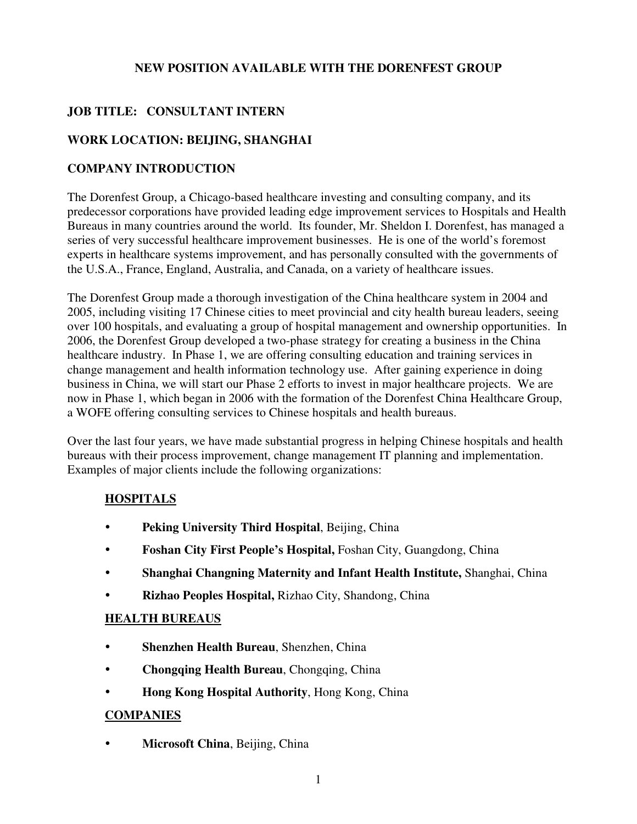### **NEW POSITION AVAILABLE WITH THE DORENFEST GROUP**

# **JOB TITLE: CONSULTANT INTERN**

## **WORK LOCATION: BEIJING, SHANGHAI**

### **COMPANY INTRODUCTION**

The Dorenfest Group, a Chicago-based healthcare investing and consulting company, and its predecessor corporations have provided leading edge improvement services to Hospitals and Health Bureaus in many countries around the world. Its founder, Mr. Sheldon I. Dorenfest, has managed a series of very successful healthcare improvement businesses. He is one of the world's foremost experts in healthcare systems improvement, and has personally consulted with the governments of the U.S.A., France, England, Australia, and Canada, on a variety of healthcare issues.

The Dorenfest Group made a thorough investigation of the China healthcare system in 2004 and 2005, including visiting 17 Chinese cities to meet provincial and city health bureau leaders, seeing over 100 hospitals, and evaluating a group of hospital management and ownership opportunities. In 2006, the Dorenfest Group developed a two-phase strategy for creating a business in the China healthcare industry. In Phase 1, we are offering consulting education and training services in change management and health information technology use. After gaining experience in doing business in China, we will start our Phase 2 efforts to invest in major healthcare projects. We are now in Phase 1, which began in 2006 with the formation of the Dorenfest China Healthcare Group, a WOFE offering consulting services to Chinese hospitals and health bureaus.

Over the last four years, we have made substantial progress in helping Chinese hospitals and health bureaus with their process improvement, change management IT planning and implementation. Examples of major clients include the following organizations:

## **HOSPITALS**

- **Peking University Third Hospital**, Beijing, China
- **Foshan City First People's Hospital,** Foshan City, Guangdong, China
- **Shanghai Changning Maternity and Infant Health Institute,** Shanghai, China
- **Rizhao Peoples Hospital,** Rizhao City, Shandong, China

#### **HEALTH BUREAUS**

- **Shenzhen Health Bureau**, Shenzhen, China
- **Chongqing Health Bureau**, Chongqing, China
- **Hong Kong Hospital Authority**, Hong Kong, China

#### **COMPANIES**

**• Microsoft China**, Beijing, China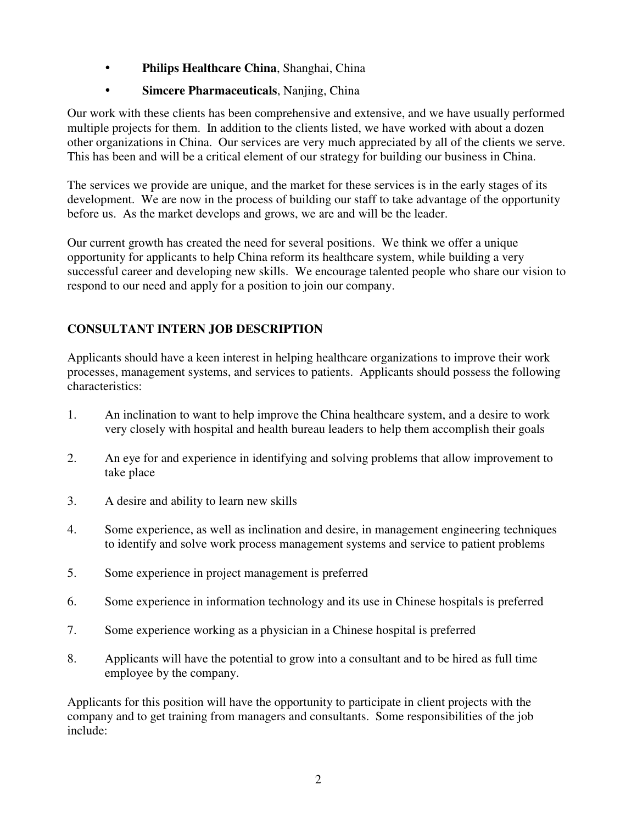- **Philips Healthcare China**, Shanghai, China
- **Simcere Pharmaceuticals**, Nanjing, China

Our work with these clients has been comprehensive and extensive, and we have usually performed multiple projects for them. In addition to the clients listed, we have worked with about a dozen other organizations in China. Our services are very much appreciated by all of the clients we serve. This has been and will be a critical element of our strategy for building our business in China.

The services we provide are unique, and the market for these services is in the early stages of its development. We are now in the process of building our staff to take advantage of the opportunity before us. As the market develops and grows, we are and will be the leader.

Our current growth has created the need for several positions. We think we offer a unique opportunity for applicants to help China reform its healthcare system, while building a very successful career and developing new skills. We encourage talented people who share our vision to respond to our need and apply for a position to join our company.

# **CONSULTANT INTERN JOB DESCRIPTION**

Applicants should have a keen interest in helping healthcare organizations to improve their work processes, management systems, and services to patients. Applicants should possess the following characteristics:

- 1. An inclination to want to help improve the China healthcare system, and a desire to work very closely with hospital and health bureau leaders to help them accomplish their goals
- 2. An eye for and experience in identifying and solving problems that allow improvement to take place
- 3. A desire and ability to learn new skills
- 4. Some experience, as well as inclination and desire, in management engineering techniques to identify and solve work process management systems and service to patient problems
- 5. Some experience in project management is preferred
- 6. Some experience in information technology and its use in Chinese hospitals is preferred
- 7. Some experience working as a physician in a Chinese hospital is preferred
- 8. Applicants will have the potential to grow into a consultant and to be hired as full time employee by the company.

Applicants for this position will have the opportunity to participate in client projects with the company and to get training from managers and consultants. Some responsibilities of the job include: